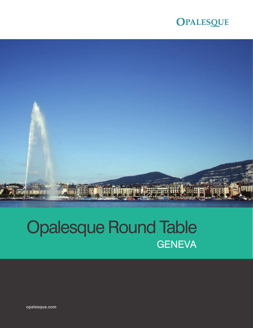



# Opalesque Round Table **GENEVA**

**opalesque.com**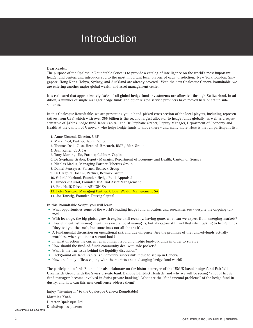# **Introduction**

#### Dear Reader,

The purpose of the Opalesque Roundtable Series is to provide a catalog of intelligence on the world's most important hedge fund centers and introduce you to the most important local players of each jurisdiction. New York, London, Singapore, Hong Kong, Tokyo, Sydney, and Auckland are already covered. With the new Opalesque Geneva Roundtable, we are entering another major global wealth and asset management center.

It is estimated that **approximately 30% of all global hedge fund investments are allocated through Switzerland.** In addition, a number of single manager hedge funds and other related service providers have moved here or set up subsidiaries.

In this Opalesque Roundtable, we are presenting you a hand-picked cross section of the local players, including representatives from UBP, which with over \$55 billion is the second largest allocator to hedge funds globally, as well as a representative of \$4bln+ hedge fund Jabre Capital, and Dr Stéphane Graber, Deputy Manager, Department of Economy and Health at the Canton of Geneva - who helps hedge funds to move there - and many more. Here is the full participant list:

- 1. Anne Simond, Director, UBP
- 2. Mark Cecil, Partner, Jabre Capital
- 3. Thomas Della Casa, Head of Research, RMF / Man Group
- 4. Jean Keller, CEO, 3A
- 5. Tony Morongiello, Partner, Caliburn Capital
- 6. Dr Stéphane Graber, Deputy Manager, Department of Economy and Health, Canton of Geneva
- 7. Nicolas Maduz, Managing Partner, Tiberius Group
- 8. Daniel Penseyres, Partner, Bedrock Group
- 9. Dr Gregoire Haenni, Partner, Bedrock Group
- 10. Gabriel Kurland, Founder, Hedge Fund Appraisal
- 11. Olivier d'Auriol, Founder, D'Auriol Asset Management
- 12. Eric Halff, Director, ARKION SA
- 13. Peter Sartogo, Managing Partner, Global Wealth Management SA

14. Joe Taussig, Founder, Taussig Capital

**In this Roundtable Script, you will learn:**

- What opportunities some of the world's leading hedge fund allocators and researches see despite the ongoing turmoil
- With leverage, the big global growth engine until recently, having gone, what can we expect from emerging markets?
- How efficient risk management has saved a lot of managers, but allocators still find that when talking to hedge funds "they tell you the truth, but sometimes not all the truth"...
- A fundamental discussion on operational risk and due diligence: Are the promises of the fund-of-funds actually worthless when you take a second look?
- In what direction the current environment is forcing hedge fund-of-funds in order to survive
- How should the fund-of-funds community deal with side pockets?
- What is the true issue behind the liquidity discussion?
- Background on Jabre Capital's "incredibly successful" move to set up in Geneva
- How are family offices coping with the markets and a changing hedge fund world?

The participants of this Roundtable also elaborate on the **historic merger of the US/UK based hedge fund Fairfield Greenwich Group with the Swiss private bank Banque Bénédict Hentsch**, and why we will be seeing "a lot of hedge fund managers become involved in Swiss private banking". What are the "fundamental problems" of the hedge fund industry, and how can this new confluence address them?

Enjoy "listening in" to the Opalesque Geneva Roundtable! **Matthias Knab** Director Opalesque Ltd. Knab@opalesque.com

Cover Photo: Lake Geneva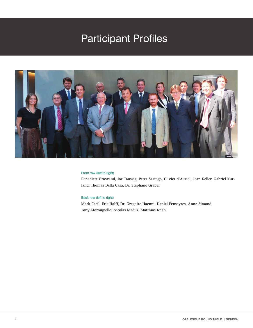# Participant Profiles



#### Front row (left to right)

**Benedicte Gravrand, Joe Taussig, Peter Sartogo, Olivier d'Auriol, Jean Keller, Gabriel Kurland, Thomas Della Casa, Dr. Stéphane Graber**

#### Back row (left to right)

**Mark Cecil, Eric Halff, Dr. Gregoire Haenni, Daniel Penseyres, Anne Simond, Tony Morongiello, Nicolas Maduz, Matthias Knab**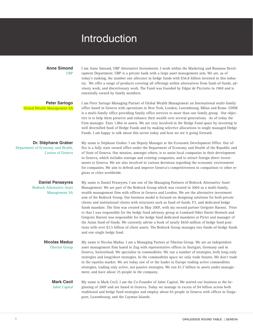# Introduction

gions or cities worldwide.

#### **Anne Simond** UBP

I am Anne Simond, UBP Alternative Investments. I work within the Marketing and Business Development Department. UBP is a private bank with a large asset management arm. We are, as of today's ranking, the number one allocator in hedge funds with \$56.8 billion invested in this industry. We offer a range of products covering all offerings within alternatives from fund-of-funds, advisory work, and discretionary work. The Fund was founded by Edgar de Picciotto in 1969 and is essentially owned by family members.

I am Peter Sartogo Managing Partner of Global Wealth Management an International multi-family office based in Geneva with operations in New York, London, Luxembourg, Milan and Rome. GWM is a multi-family office providing family office services to more than one family group. Our objective is to help them preserve and enhance their wealth over several generations. As of today the Firm manages Euro 1.8bn in assets. We are very involved in the Hedge Fund space by investing in well diversified fund of Hedge Funds and by making selective allocations to single managed Hedge

**Peter Sartogo** Global Wealth Management SA

**Dr. Stéphane Graber** Department of Economy and Health, Canton of Geneva

Funds. I am happy to talk about this sector today and how we see it going forward. My name is Stéphane Graber. I am Deputy Manager at the Economic Development Office. Our office is a fully state owned office under the Department of Economy and Health of the Republic and of State of Geneva. Our mission, amongst others, is to assist local companies in their development in Geneva, which includes startups and existing companies, and to attract foreign direct investments to Geneva. We are also involved in various decisions regarding the economic environment for companies. We aim to defend and improve Geneva's competitiveness in comparison to other re-

**Daniel Penseyres** Bedrock Alternative Asset Management SA

My name is Daniel Penseyres, I am one of the Managing Partners of Bedrock Alternative Asset Management. We are part of the Bedrock Group which was created in 2004 as a multi-family, wealth management firm with offices in Geneva and London. We are the alternative investment arm of the Bedrock Group. Our business model is focused on designing solutions for both private clients and institutional clients with structures such as fund-of-funds, F3, and dedicated hedge funds mandate. The firm was created in May 2007, with my second partner Grégoire Haenni. Prior to that I was responsible for the hedge fund advisory group at Lombard Odier Darier Hentsch and Grégoire Haenni was responsible for the hedge fund dedicated mandates at Pictet and manager of the Asian fund-of-funds. We currently advise a book of nearly \$650 million of hedge fund positions with over \$2.5 billion of client assets. The Bedrock Group manages two funds-of-hedge funds and one single hedge fund.

My name is Nicolas Maduz. I am a Managing Partner at Tiberius Group. We are an independent asset management firm based in Zug with representative offices in Stuttgart, Germany and in Geneva, Switzerland. We specialize in commodities. We run a number of strategies, both long-only strategies and long/short strategies. In the commodities space we only trade futures. We don't trade in the equities market. We are today one of or the leader in Europe trading active commodities strategies, trading only active, not passive strategies. We run \$1.7 billion in assets under management, and have about 25 people in the company. **Nicolas Maduz** Tiberius Group

#### My name is Mark Cecil. I am the Co-Founder of Jabre Capital. We started our business at the beginning of 2007 and are based in Geneva. Today we manage in excess of \$4 billion across both traditional and hedge fund strategies and employ about 65 people in Geneva with offices in Singapore, Luxembourg, and the Cayman Islands. **Mark Cecil** Jabre Capital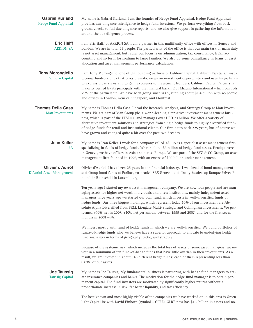| <b>Gabriel Kurland</b><br><b>Hedge Fund Appraisal</b> | My name is Gabriel Kurland. I am the founder of Hedge Fund Appraisal. Hedge Fund Appraisal<br>provides due diligence intelligence to hedge fund investors. We perform everything from back-<br>ground checks to full due diligence reports, and we also give support in gathering the information<br>around the due diligence process.                                                                                                                                                                                                                                                                                       |
|-------------------------------------------------------|------------------------------------------------------------------------------------------------------------------------------------------------------------------------------------------------------------------------------------------------------------------------------------------------------------------------------------------------------------------------------------------------------------------------------------------------------------------------------------------------------------------------------------------------------------------------------------------------------------------------------|
| <b>Eric Halff</b><br><b>ARKION SA</b>                 | I am Eric Halff of ARKION SA. I am a partner in this multifamily office with offices in Geneva and<br>London. We are in total 25 people. The particularity of the office is that our main task or main duty<br>is not asset management, but rather our focus is on administration, tax consultancy, legal, ac-<br>counting and so forth for medium to large families. We also do some consultancy in terms of asset<br>allocation and asset management performance calculation.                                                                                                                                              |
| <b>Tony Morongiello</b><br>Caliburn Capital           | I am Tony Morongiello, one of the founding partners of Caliburn Capital. Caliburn Capital an insti-<br>tutional fund-of-funds that takes thematic views on investment opportunities and uses hedge funds<br>to express those views and to gain exposures to investment frontiers. Caliburn Capital Partners is<br>majority owned by its principals with the financial backing of Mizuho International which controls<br>29% of the partnership. We have been going since 2005, running about \$1.4 billion with 45 people<br>and offices in London, Geneva, Singapore, and Montreal.                                         |
| <b>Thomas Della Casa</b><br>Man Investments           | My name is Thomas Della Casa. I head the Research, Analysis, and Strategy Group at Man Invest-<br>ments. We are part of Man Group plc, a world-leading alternative investment management busi-<br>ness, which is part of the FTSE100 and manages over USD 70 billion. We offer a variety of<br>alternative investment solutions and strategies from single hedge funds to highly diversified fund-<br>of hedge-funds for retail and institutional clients. Our firm dates back 225 years, but of course we<br>have grown and changed quite a bit over the past two decades.                                                  |
| <b>Jean Keller</b><br>3A                              | My name is Jean Keller. I work for a company called 3A. 3A is a specialist asset management firm<br>specializing in funds of hedge funds. We run about \$5 billion of hedge fund assets. Headquartered<br>in Geneva, we have offices in Asia and across Europe. We are part of the SYZ & CO Group, an asset<br>management firm founded in 1996, with an excess of \$30 billion under management.                                                                                                                                                                                                                             |
| <b>Olivier d'Auriol</b><br>D'Auriol Asset Management  | Olivier d'Auriol. I have been 25 years in the financial industry. I was head of bond management<br>and Group bond funds at Paribas, co-headed SBS Geneva, and finally headed up Banque Privée Ed-<br>mond de Rothschild in Luxembourg.                                                                                                                                                                                                                                                                                                                                                                                       |
|                                                       | Ten years ago I started my own asset management company. We are now four people and are man-<br>aging assets for higher net worth individuals and a few institutions, mainly independent asset<br>managers. Five years ago we started our own fund, which invests in well-diversified funds of<br>hedge funds. Our three biggest holdings, which represent today 60% of our investment are Ab-<br>solute Alpha Diversified from FRM, Liongate Multi-Strategy, and Collingham Investments. We per-<br>formed $+10\%$ net in 2007, $+10\%$ net per annum between 1999 and 2007, and for the first seven<br>months in 2008 -4%. |
|                                                       | We invest mostly with fund of hedge funds in which we are well-diversified. We build portfolios of<br>funds-of-hedge funds who we believe have a superior approach to allocate to underlying hedge<br>fund managers in terms of geography, tactic, and strategy.                                                                                                                                                                                                                                                                                                                                                             |
|                                                       | Because of the systemic risk, which includes the total loss of assets of some asset managers, we in-<br>vest in a minimum of ten fund-of-hedge funds that have little overlap in their investments. As a<br>result, we are invested in about 340 different hedge funds; each of them representing less than<br>0.03% of our assets.                                                                                                                                                                                                                                                                                          |
| <b>Joe Taussig</b><br><b>Taussig Capital</b>          | My name is Joe Taussig. My fundamental business is partnering with hedge fund managers to cre-<br>ate insurance companies and banks. The motivation for the hedge fund manager is to obtain per-<br>manent capital. The fund investors are motivated by significantly higher returns without a<br>proportionate increase in risk, far better liquidity, and tax efficiency.                                                                                                                                                                                                                                                  |
|                                                       | The best known and most highly visible of the companies we have worked on in this area is Green-<br>light Capital Re with David Einhorn (symbol - GLRE). GLRE now has \$1.2 billion in assets and no-                                                                                                                                                                                                                                                                                                                                                                                                                        |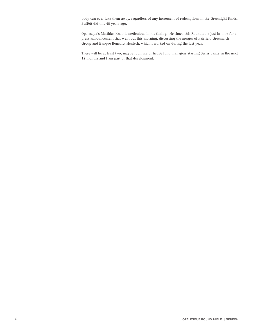body can ever take them away, regardless of any increment of redemptions in the Greenlight funds. Buffett did this 40 years ago.

Opalesque's Matthias Knab is meticulous in his timing. He timed this Roundtable just in time for a press announcement that went out this morning, discussing the merger of Fairfield Greenwich Group and Banque Bénédict Hentsch, which I worked on during the last year.

There will be at least two, maybe four, major hedge fund managers starting Swiss banks in the next 12 months and I am part of that development.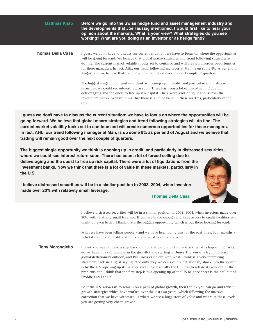**Before we go into the Swiss hedge fund and asset management industry and the developments that Joe Taussig mentioned, I would first like to hear your opinion about the markets. What is your view? What strategies do you see working? What are you doing as an investor or as hedge fund?** I guess we don't have to discuss the current situation; we have to focus on where the opportunities will be going forward. We believe that global macro strategies and trend following strategies will do fine. The current market volatility looks set to continue and will create numerous opportunities for these managers. In fact, AHL, our trend following manager at Man, is up some 8% as per end of August and we believe that trading will remain good over the next couple of quarters. The biggest single opportunity we think is opening up in credit, and particularly in distressed securities, we could see interest return soon. There has been a lot of forced selling due to deleveraging and the quest to free up risk capital. There were a lot of liquidations from the investment banks. Now we think that there is a lot of value in these markets, particularly in the U.S. **Matthias Knab Thomas Della Casa**

**I guess we don't have to discuss the current situation; we have to focus on where the opportunities will be going forward. We believe that global macro strategies and trend following strategies will do fine. The current market volatility looks set to continue and will create numerous opportunities for these managers. In fact, AHL, our trend following manager at Man, is up some 8% as per end of August and we believe that trading will remain good over the next couple of quarters.**

**The biggest single opportunity we think is opening up in credit, and particularly in distressed securities, where we could see interest return soon. There has been a lot of forced selling due to deleveraging and the quest to free up risk capital. There were a lot of liquidations from the investment banks. Now we think that there is a lot of value in these markets, particularly in the U.S.**

**I believe distressed securities will be in a similar position to 2003, 2004, when investors made over 20% with relativity small leverage.**

**Thomas Della Casa**

I believe distressed securities will be in a similar position to 2003, 2004, when investors made over 20% with relativity small leverage. If you are brave enough and have access to credit facilities you might do even better. I think that's the biggest opportunity which is out there looking forward.

What we have been telling people - and we have been doing this for the past three, four months is to take a look at credit and think about what your exposure could be.

I think you have to take a step back and look at the big picture and ask: what is happening? Why do we have this capitulation in the growth trade starting in June? The world is trying to price in global deflationary outlook, and Bill Gross came out with what I think is a very interesting statement back in August saying, "the only way we can avoid a deflationary shock into the system is by the U.S. opening up its balance sheet." So basically the U.S. has to reflate its way out of the problems and I think that the first step is this opening up of the US balance sheet is the bail out of Freddie and Fannie. **Tony Morongiello**

> So if the U.S. allows us to remain on a path of global growth, then I think you can go and revisit growth strategies which have worked over the last two years; which following the massive correction that we have witnessed, is where we see a huge store of value and where at these levels you are getting very cheap growth.

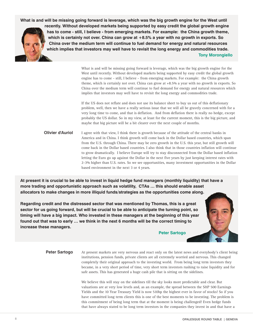**What is and will be missing going forward is leverage, which was the big growth engine for the West until recently. Without developed markets being supported by easy credit the global growth engine has to come - still, I believe - from emerging markets. For example: the China growth theme, which is certainly not over. China can grow at +8.5% a year with no growth in exports. So China over the medium term will continue to fuel demand for energy and natural resources which implies that investors may well have to revisit the long energy and commodities trade. Tony Morongiello**

> What is and will be missing going forward is leverage, which was the big growth engine for the West until recently. Without developed markets being supported by easy credit the global growth engine has to come - still, I believe - from emerging markets. For example: the China growth theme, which is certainly not over. China can grow at +8.5% a year with no growth in exports. So China over the medium term will continue to fuel demand for energy and natural resources which implies that investors may well have to revisit the long energy and commodities trade.

> If the US does not reflate and does not use its balance sheet to buy us out of this deflationary problem, well, then we have a really serious issue that we will all be gravely concerned with for a very long time to come, and that is deflation. And from deflation there is really no hedge, except probably the US dollar. So in my view, at least for the current moment, this is the big picture, and maybe that big picture will be a bit clearer over the next couple of months.

I agree with that view, I think there is growth because of the attitude of the central banks in America and in China. I think growth will come back in the Dollar based countries, which span from the U.S. through China. There may be zero growth in the U.S. this year, but still growth will come back in the Dollar based countries. I also think that in those countries inflation will continue to grow dramatically. I believe Europe will try to stay disconnected from the Dollar based inflation letting the Euro go up against the Dollar in the next five years by just keeping interest rates with 2-3% higher than U.S. rates. So we see opportunities, many investment opportunities in the Dollar based environment in the next 3 or 4 years. **Olivier d'Auriol**

**At present it is crucial to be able to invest in liquid hedge fund managers (monthly liquidity) that have a more trading and opportunistic approach such as volatility, CTAs … this should enable asset allocators to make changes in more illiquid funds/strategies as the opportunities come along.**

**Regarding credit and the distressed sector that was mentioned by Thomas, this is a great sector for us going forward, but will be crucial to be able to anticipate the turning point, so timing will have a big impact. Who invested in these managers at the beginning of this year found out that was to early … we think in the next 6 months will be the correct timing to increase these managers.**

**Peter Sartogo**

At present markets are very nervous and react only on the latest news and everybody's client being institutions, pension funds, private clients are all extremely worried and nervous. This changed completely their original approach to the investing world. From being long term investors they became, in a very short period of time, very short term investors rushing to raise liquidity and for safe assets. This has generated a huge cash pile that is sitting on the sidelines. **Peter Sartogo**

> We believe this will stay on the sidelines till the sky looks more predictable and clear. But valuations are at very low levels and, as an example, the spread between the S&P 500 Earnings Yields and the 10 Year Treasury Yield is now 510bp the highest ever in favor of stocks! So if you have committed long term clients this is one of the best moments to be investing. The problem is this commitment of being long term that at the moment is being challenged! Even hedge funds that have always stated to be long term investors in the companies they invest in and that have a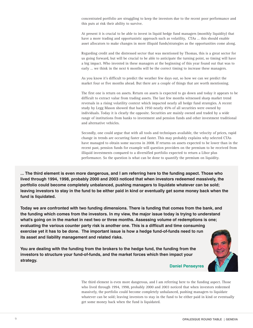concentrated portfolio are struggling to keep the investors due to the recent poor performance and this puts at risk their ability to survive.

At present it is crucial to be able to invest in liquid hedge fund managers (monthly liquidity) that have a more trading and opportunistic approach such as volatility, CTAs … this should enable asset allocators to make changes in more illiquid funds/strategies as the opportunities come along.

Regarding credit and the distressed sector that was mentioned by Thomas, this is a great sector for us going forward, but will be crucial to be able to anticipate the turning point, so timing will have a big impact. Who invested in these managers at the beginning of this year found out that was to early ... we think in the next 6 months will be the correct timing to increase these managers.

As you know it's difficult to predict the weather few days out, so how we can we predict the market four or five months ahead. But there are a couple of things that are worth mentioning.

The first one is return on assets. Return on assets is expected to go down and today it appears to be difficult to extract value from trading assets. The last few months witnessed sharp market trend reversals in a rising volatility context which impacted nearly all hedge fund strategies. A recent study by Legg Mason showed that back 1950 nearly 45% of all securities were owned by individuals. Today it is clearly the opposite. Securities are mainly owned and traded by a wide range of institutions from banks to investment and pension funds and other investment traditional and alternative vehicles.

Secondly, one could argue that with all tools and techniques available, the velocity of prices, rapid change in trends are occurring faster and faster. This may probably explains why selected CTAs have managed to obtain some success in 2008. If returns on assets expected to be lower than in the recent past, pension funds for example will question providers on the premium to be received from illiquid investments compared to a diversified portfolio expected to return a Libor plus performance. So the question is what can be done to quantify the premium on liquidity.

**... The third element is even more dangerous, and I am referring here to the funding aspect. Those who lived through 1994, 1998, probably 2000 and 2003 noticed that when investors redeemed massively, the portfolio could become completely unbalanced, pushing managers to liquidate whatever can be sold; leaving investors to stay in the fund to be either paid in kind or eventually get some money back when the fund is liquidated.**

**Today we are confronted with two funding dimensions. There is funding that comes from the bank, and the funding which comes from the investors. In my view, the major issue today is trying to understand what's going on in the market in next two or three months. Assessing volume of redemptions is one; evaluating the various counter party risk is another one. This is a difficult and time consuming exercise yet it has to be done. The important issue is how a hedge fund-of-funds need to run its asset and liability management and related risks.**

**You are dealing with the funding from the brokers to the hedge fund, the funding from the investors to structure your fund-of-funds, and the market forces which then impact your strategy.**





The third element is even more dangerous, and I am referring here to the funding aspect. Those who lived through 1994, 1998, probably 2000 and 2003 noticed that when investors redeemed massively, the portfolio could become completely unbalanced, pushing managers to liquidate whatever can be sold; leaving investors to stay in the fund to be either paid in kind or eventually get some money back when the fund is liquidated.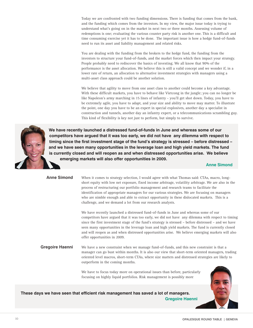Today we are confronted with two funding dimensions. There is funding that comes from the bank, and the funding which comes from the investors. In my view, the major issue today is trying to understand what's going on in the market in next two or three months. Assessing volume of redemptions is one; evaluating the various counter party risk is another one. This is a difficult and time consuming exercise yet it has to be done. The important issue is how a hedge fund-of-funds need to run its asset and liability management and related risks.

You are dealing with the funding from the brokers to the hedge fund, the funding from the investors to structure your fund-of-funds, and the market forces which then impact your strategy. People probably need to rediscover the basics of investing. We all know that 90% of the performance is the asset allocation. We believe this is still a valid concept and we wonder if, in a lower rate of return, an allocation to alternative investment strategies with managers using a multi-asset class approach could be another solution.

We believe that agility to move from one asset class to another could become a key advantage. With these difficult markets, you have to behave like Vietcong in the jungle; you can no longer be like Napoleon's army marching in 15 lines of infantry - you'll get shot down. Today, you have to be extremely agile, you have to adapt, and your size and ability to move may matter. To illustrate the point, one day you have to be an expert in special explosives, another day a specialist in construction and tunnels, another day an infantry expert, or a telecommunications scrambling guy. This kind of flexibility is key not just to perform, but simply to survive.



**We have recently launched a distressed fund-of-funds in June and whereas some of our competitors have argued that it was too early, we did not have any dilemma with respect to timing since the first investment stage of the fund's strategy is stressed – before distressed – and we have seen many opportunities in the leverage loan and high yield markets. The fund is currently closed and will reopen as and when distressed opportunities arise. We believe emerging markets will also offer opportunities in 2009.**

**Anne Simond**

| <b>Anne Simond</b>     | When it comes to strategy selection, I would agree with what Thomas said: CTAs, macro, long-<br>short equity with low net exposure, fixed income arbitrage, volatility arbitrage. We are also in the<br>process of restructuring our portfolio management and research teams to facilitate the<br>identification of appropriate managers for our various strategies. We are focusing on managers<br>who are nimble enough and able to extract opportunity in these dislocated markets. This is a<br>challenge, and we demand a lot from our research analysts. |
|------------------------|----------------------------------------------------------------------------------------------------------------------------------------------------------------------------------------------------------------------------------------------------------------------------------------------------------------------------------------------------------------------------------------------------------------------------------------------------------------------------------------------------------------------------------------------------------------|
|                        | We have recently launched a distressed fund-of-funds in June and whereas some of our<br>competitors have argued that it was too early, we did not have any dilemma with respect to timing<br>since the first investment stage of the fund's strategy is stressed – before distressed – and we have<br>seen many opportunities in the leverage loan and high yield markets. The fund is currently closed<br>and will reopen as and when distressed opportunities arise. We believe emerging markets will also<br>offer opportunities in 2009.                   |
| <b>Gregoire Haenni</b> | We have a new constraint when we manage fund-of-funds, and this new constraint is that a<br>manager can go bust within months. It is also our view that short-term oriented managers, trading<br>oriented level macros, short-term CTAs, where size matters and distressed strategies are likely to<br>outperform in the coming months.                                                                                                                                                                                                                        |
|                        | We have to focus today more on operational issues than before, particularly<br>focusing on highly liquid portfolios. Risk management is possibly more                                                                                                                                                                                                                                                                                                                                                                                                          |

**These days we have seen that efficient risk management has saved a lot of managers. Gregoire Haenni**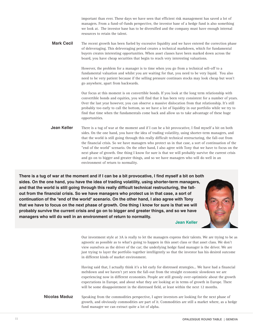important than ever. These days we have seen that efficient risk management has saved a lot of managers. From a fund-of-funds perspective, the investor base of a hedge fund is also something we look at. The investor base has to be diversified and the company must have enough internal resources to retain the talent.

The recent growth has been fueled by excessive liquidity and we have entered the correction phase of deleveraging. This deleveraging period creates a technical markdown, which for fundamental buyers creates interesting opportunities. When asset classes have been marked down across the board, you have cheap securities that begin to reach very interesting valuations. **Mark Cecil**

> However, the problem for a manager is to time when you go from a technical sell-off to a fundamental valuation and whilst you are waiting for that, you need to be very liquid. You also need to be very patient because if the selling pressure continues stocks may look cheap but won't go anywhere, apart from backwards.

Our focus at this moment is on convertible bonds. If you look at the long term relationship with convertible bonds and equities, you will find that it has been very consistent for a number of years. Over the last year however, you can observe a massive dislocation from that relationship. It's still probably too early to call the bottom, so we have a lot of liquidity in our portfolio while we try to find that time when the fundamentals come back and allow us to take advantage of these huge opportunities.

There is a tug of war at the moment and if I can be a bit provocative, I find myself a bit on both sides. On the one hand, you have the idea of trading volatility, using shorter-term managers, and that the world is still going through this really difficult technical restructuring, the fall-out from the financial crisis. So we have managers who protect us in that case, a sort of continuation of the "end of the world" scenario. On the other hand, I also agree with Tony that we have to focus on the next phase of growth. One thing I know for sure is that we will probably survive the current crisis and go on to bigger and greater things, and so we have managers who will do well in an environment of return to normality. **Jean Keller**

**There is a tug of war at the moment and if I can be a bit provocative, I find myself a bit on both sides. On the one hand, you have the idea of trading volatility, using shorter-term managers, and that the world is still going through this really difficult technical restructuring, the fallout from the financial crisis. So we have managers who protect us in that case, a sort of continuation of the "end of the world" scenario. On the other hand, I also agree with Tony that we have to focus on the next phase of growth. One thing I know for sure is that we will probably survive the current crisis and go on to bigger and greater things, and so we have managers who will do well in an environment of return to normality.**

**Jean Keller**

Our investment style at 3A is really to let the managers express their talents. We are trying to be as agnostic as possible as to what's going to happen in this asset class or that asset class. We don't view ourselves as the driver of the car; the underlying hedge fund manager is the driver. We are just trying to layer the portfolio together intelligently so that the investor has his desired outcome in different kinds of market environment.

Having said that, I actually think it's a bit early for distressed strategies... We have had a financial meltdown and we haven't yet seen the fall-out from the straight economic slowdown we are experiencing now in different economies. People are still grossly over-optimistic about the growth expectations in Europe, and about what they are looking at in terms of growth in Europe. There will be some disappointment in the distressed field, at least within the next 12 months.

Speaking from the commodities perspective, I agree investors are looking for the next phase of growth, and obviously commodities are part of it. Commodities are still a market where, as a hedge fund manager we can extract quite a lot of alpha. **Nicolas Maduz**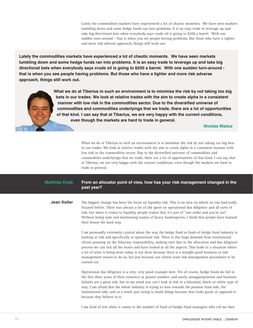Lately the commodities markets have experienced a lot of chaotic moments. We have seen markets tumbling down and some hedge funds ran into problems. It is an easy trade to leverage up and take big directional bets when everybody says crude oil is going to \$200 a barrel. With one sudden turn-around - that is when you see people having problems. But those who have a tighter and more risk adverse approach, things still work out.

**Lately the commodities markets have experienced a lot of chaotic moments. We have seen markets tumbling down and some hedge funds ran into problems. It is an easy trade to leverage up and take big directional bets when everybody says crude oil is going to \$200 a barrel. With one sudden turn-around that is when you see people having problems. But those who have a tighter and more risk adverse approach, things still work out.**

> **What we do at Tiberius in such an environment is to minimize the risk by not taking too big bets in our trades. We look at relative trades with the aim to create alpha in a consistent manner with low risk in the commodities sector. Due to the diversified universe of commodities and commodities underlyings that we trade, there are a lot of opportunities of that kind. I can say that at Tiberius, we are very happy with the current conditions, even though the markets are hard to trade in general.**

#### **Nicolas Maduz**

What we do at Tiberius in such an environment is to minimize the risk by not taking too big bets in our trades. We look at relative trades with the aim to create alpha in a consistent manner with low risk in the commodities sector. Due to the diversified universe of commodities and commodities underlyings that we trade, there are a lot of opportunities of that kind. I can say that at Tiberius, we are very happy with the current conditions, even though the markets are hard to trade in general.

#### **From an allocator point of view, how has your risk management changed in the past year? Matthias Knab**

The biggest change has been the focus on liquidity risk. This is an area on which no one had really focused before. There was always a lot of ink spent on operational due diligence and all sorts of risk, but when it comes to liquidity people realize that it's sort of "one strike and you're out". Without being rude and mentioning names of heavy bankruptcies, I think that people have learned their lesson the hard way. **Jean Keller**

> I am personally extremely cynical about the way the hedge fund or fund-of-hedge-fund industry is looking at risk and specifically at operational risk. There is this huge demand from institutional clients pressing on the fiduciary responsibility, making sure that in the allocation and due diligence process we can tick all the boxes and have looked at all the aspects. This leads to a situation where a lot of what is being done today is not done because there is a straight good business or risk management reason to do so, but just because our clients want risk management procedures to be carried out.

> Operational due diligence is a very, very good example here. Yes of course, hedge funds do fail in the first three years of their existence in greater number, and surely misappropriation and business failures are a great risk, but in my mind you can't look at risk in a binomial, black-or-white type of way. I am afraid that the whole industry is trying to lean towards the pension fund side, the institutional side, and as a result just trying to build things because that looks good, as opposed to because they believe in it.

I am kind of lost when it comes to the number of fund-of-hedge-fund managers who tell me they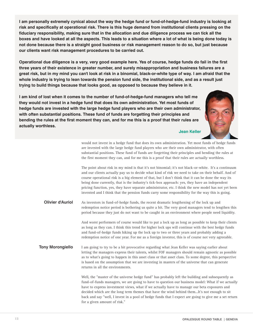**I am personally extremely cynical about the way the hedge fund or fund-of-hedge-fund industry is looking at risk and specifically at operational risk. There is this huge demand from institutional clients pressing on the fiduciary responsibility, making sure that in the allocation and due diligence process we can tick all the boxes and have looked at all the aspects. This leads to a situation where a lot of what is being done today is not done because there is a straight good business or risk management reason to do so, but just because our clients want risk management procedures to be carried out.**

**Operational due diligence is a very, very good example here. Yes of course, hedge funds do fail in the first three years of their existence in greater number, and surely misappropriation and business failures are a great risk, but in my mind you can't look at risk in a binomial, black-or-white type of way. I am afraid that the whole industry is trying to lean towards the pension fund side, the institutional side, and as a result just trying to build things because that looks good, as opposed to because they believe in it.**

**I am kind of lost when it comes to the number of fund-of-hedge-fund managers who tell me they would not invest in a hedge fund that does its own administration. Yet most funds of hedge funds are invested with the large hedge fund players who are their own administrator, with often substantial positions. These fund of funds are forgetting their principles and bending the rules at the first moment they can, and for me this is a proof that their rules are actually worthless.**



**Jean Keller**

would not invest in a hedge fund that does its own administration. Yet most funds of hedge funds are invested with the large hedge fund players who are their own administrator, with often substantial positions. These fund of funds are forgetting their principles and bending the rules at the first moment they can, and for me this is a proof that their rules are actually worthless.

The point about risk in my mind is that it's not binomial; it's not black-or-white. It's a continuum and our clients actually pay us to decide what kind of risk we need to take on their behalf. And of course operational risk is a big element of that, but I don't think that it can be done the way its being done currently, that is the industry's tick-box approach: yes, they have an independent pricing function, yes, they have separate administrator, etc. I think the new model has not yet been invented and I think that the pension funds carry some responsibility for the way this is going.

As investors in fund-of-hedge funds, the recent dramatic lengthening of the lock up and redemption notice period is bothering us quite a bit. The very good managers tend to lengthen this period because they just do not want to be caught in an environment where people need liquidity. **Olivier d'Auriol**

> And worst performers of course would like to put a lock up as long as possible to keep their clients as long as they can. I think this trend for higher lock ups will continue with the best hedge funds and fund-of-hedge funds hiking up the lock up to two or three years and probably adding a redemption notice of one year. For me as a foreign investor, this is of course not very agreeable.

I am going to try to be a bit provocative regarding what Jean Keller was saying earlier about letting the managers express their talents, whilst FOF managers should remain agnostic as possible as to what's going to happen in this asset class or that asset class. To some degree, this perspective is based on the assumption that we are investing in masters of the universe that can generate returns in all the environments. **Tony Morongiello**

> Well, the "master of the universe hedge fund" has probably left the building and subsequently as fund-of-funds managers, we are going to have to question our business model: What if we actually have to express investment views, what if we actually have to manage our beta exposures and decided which are the long term themes that have the wind behind them...It's not enough to sit back and say "well, I invest in a pool of hedge funds that I expect are going to give me a set return for a given amount of risk."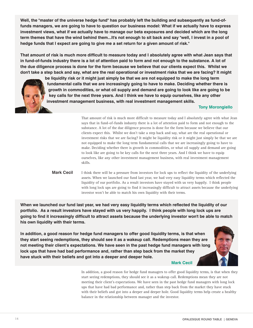**Well, the "master of the universe hedge fund" has probably left the building and subsequently as fund-offunds managers, we are going to have to question our business model: What if we actually have to express investment views, what if we actually have to manage our beta exposures and decided which are the long term themes that have the wind behind them...It's not enough to sit back and say "well, I invest in a pool of hedge funds that I expect are going to give me a set return for a given amount of risk."**

**That amount of risk is much more difficult to measure today and I absolutely agree with what Jean says that in fund-of-funds industry there is a lot of attention paid to form and not enough to the substance. A lot of the due diligence process is done for the form because we believe that our clients expect this. Whilst we don't take a step back and say, what are the real operational or investment risks that we are facing? It might**



**be liquidity risk or it might just simply be that we are not equipped to make the long term fundamental calls that we are increasingly going to have to make. Deciding whether there is growth in commodities, or what oil supply and demand are going to look like are going to be key calls for the next three years. And I think we have to equip ourselves, like any other investment management business, with real investment management skills.**

### **Tony Morongiello**

That amount of risk is much more difficult to measure today and I absolutely agree with what Jean says that in fund-of-funds industry there is a lot of attention paid to form and not enough to the substance. A lot of the due diligence process is done for the form because we believe that our clients expect this. Whilst we don't take a step back and say, what are the real operational or investment risks that we are facing? It might be liquidity risk or it might just simply be that we are not equipped to make the long term fundamental calls that we are increasingly going to have to make. Deciding whether there is growth in commodities, or what oil supply and demand are going to look like are going to be key calls for the next three years. And I think we have to equip ourselves, like any other investment management business, with real investment management skills.

I think there will be a pressure from investors for lock ups to reflect the liquidity of the underlying assets. When we launched our fund last year, we had very easy liquidity terms which reflected the liquidity of our portfolio. As a result investors have stayed with us very happily. I think people with long lock ups are going to find it increasingly difficult to attract assets because the underlying investor won't be able to match his own liquidity with their terms. **Mark Cecil**

**When we launched our fund last year, we had very easy liquidity terms which reflected the liquidity of our portfolio. As a result investors have stayed with us very happily. I think people with long lock ups are going to find it increasingly difficult to attract assets because the underlying investor won't be able to match his own liquidity with their terms.**

**In addition, a good reason for hedge fund managers to offer good liquidity terms, is that when they start seeing redemptions, they should see it as a wakeup call. Redemptions mean they are not meeting their client's expectations. We have seen in the past hedge fund managers with long lock ups that have had bad performance and, rather than step back from the market they have stuck with their beliefs and got into a deeper and deeper hole.**



#### **Mark Cecil**

In addition, a good reason for hedge fund managers to offer good liquidity terms, is that when they start seeing redemptions, they should see it as a wakeup call. Redemptions mean they are not meeting their client's expectations. We have seen in the past hedge fund managers with long lock ups that have had bad performance and, rather than step back from the market they have stuck with their beliefs and got into a deeper and deeper hole. Good liquidity terms help create a healthy balance in the relationship between manager and the investor.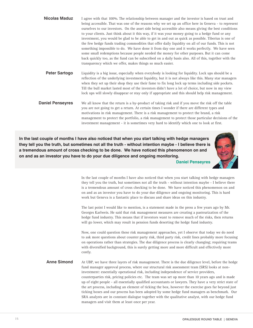| <b>Nicolas Maduz</b>                                                                                                                                                                                                                                                                                                                                                                                                  | I agree with that 100%. The relationship between manager and the investor is based on trust and<br>being accessible. That was one of the reasons why we set up an office here in Geneva - to represent<br>ourselves to our investors. On the asset side being accessible also means giving the best conditions<br>to your clients. Just think about it this way, if it was your money going to a hedge fund or any<br>investment, you would be glad to be able to get in and out as quick as possible. Tiberius is one of<br>the few hedge funds trading commodities that offer daily liquidity on all of our funds. This is not<br>something impossible to do. We have done it from day one and it works perfectly. We have seen<br>some small redemptions because people needed the money for other purposes. But it can come<br>back quickly too, as the fund can be subscribed on a daily basis also. All of this, together with the<br>transparency which we offer, makes things so much easier. |  |
|-----------------------------------------------------------------------------------------------------------------------------------------------------------------------------------------------------------------------------------------------------------------------------------------------------------------------------------------------------------------------------------------------------------------------|-------------------------------------------------------------------------------------------------------------------------------------------------------------------------------------------------------------------------------------------------------------------------------------------------------------------------------------------------------------------------------------------------------------------------------------------------------------------------------------------------------------------------------------------------------------------------------------------------------------------------------------------------------------------------------------------------------------------------------------------------------------------------------------------------------------------------------------------------------------------------------------------------------------------------------------------------------------------------------------------------------|--|
| <b>Peter Sartogo</b>                                                                                                                                                                                                                                                                                                                                                                                                  | Liquidity is a big issue, especially when everybody is looking for liquidity. Lock ups should be a<br>reflection of the underlying investment liquidity, but it is not always like this. Many star managers<br>when they set up their shop they use their fame to fix long lock up terms including side pockets.<br>Till the bull market lasted most of the investors didn't have a lot of choice, but now in my view<br>lock ups will slowly disappear or stay only if appropriate and this should help risk management.                                                                                                                                                                                                                                                                                                                                                                                                                                                                             |  |
| <b>Daniel Penseyres</b>                                                                                                                                                                                                                                                                                                                                                                                               | We all know that the return is a by-product of taking risk and if you move the risk off the table<br>you are not going to get a return. At certain times I wonder if there are different types and<br>motivations in risk management. There is a risk management to protect the brand, a risk<br>management to protect the portfolio, a risk management to protect those particular decisions of the<br>investment management - it is sometimes very hard to identify which one to look at first.                                                                                                                                                                                                                                                                                                                                                                                                                                                                                                     |  |
| In the last couple of months I have also noticed that when you start talking with hedge managers<br>they tell you the truth, but sometimes not all the truth - without intention maybe - I believe there is<br>a tremendous amount of cross checking to be done. We have noticed this phenomenon on and<br>on and as an investor you have to do your due diligence and ongoing monitoring.<br><b>Daniel Penseyres</b> |                                                                                                                                                                                                                                                                                                                                                                                                                                                                                                                                                                                                                                                                                                                                                                                                                                                                                                                                                                                                       |  |

In the last couple of months I have also noticed that when you start talking with hedge managers they tell you the truth, but sometimes not all the truth - without intention maybe - I believe there is a tremendous amount of cross checking to be done. We have noticed this phenomenon on and on and as an investor you have to do your due diligence and ongoing monitoring. This is hard work but Geneva is a fantastic place to discuss and share ideas on this industry.

The last point I would like to mention, is a statement made in the press a few years ago by Mr. Georges Karlweis. He said that risk management measures are creating a pasteurization of the hedge fund industry. This means that if investors want to remove much of the risks, then returns will go lower, which may result in pension funds deserting the hedge fund industry.

Now, one could question these risk management approaches, yet I observe that today we do need to ask more questions about counter party risk, third party risk, credit lines probably more focusing on operations rather than strategies. The due diligence process is clearly changing; requiring teams with diversified background, this is surely getting more and more difficult and effectively more costly.

At UBP, we have three layers of risk management. There is the due diligence level, before the hedge fund manager approval process, where our structural risk assessment team (SRS) looks at noninvestment: essentially operational risk, including independence of service providers, counterparties risk, pricing policies etc. The team was set up more than 10 years ago and is made up of eight people - all essentially qualified accountants or lawyers. They have a very strict state of the art process, including an element of ticking the box, however the exercise goes far beyond just ticking boxes and our process has been adopted by some hedge fund managers as benchmark. Our SRA analysts are in constant dialogue together with the qualitative analyst, with our hedge fund managers and visit them at least once per year. **Anne Simond**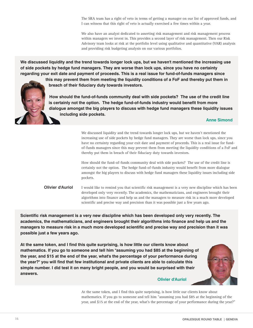The SRA team has a right of veto in terms of getting a manager on our list of approved funds, and I can witness that this right of veto is actually exercised a few times within a year.

We also have an analyst dedicated to asserting risk management and risk management process within managers we invest in. This provides a second layer of risk management. Then our Risk Advisory team looks at risk at the portfolio level using qualitative and quantitative (VAR) analysis and providing risk budgeting analysis on our various portfolios.

**We discussed liquidity and the trend towards longer lock ups, but we haven't mentioned the increasing use of side pockets by hedge fund managers. They are worse than lock ups, since you have no certainty regarding your exit date and payment of proceeds. This is a real issue for fund-of-funds managers since**

**this may prevent them from meeting the liquidity conditions of a FoF and thereby put them in breach of their fiduciary duty towards investors.**

**How should the fund-of-funds community deal with side pockets? The use of the credit line is certainly not the option. The hedge fund-of-funds industry would benefit from more dialogue amongst the big players to discuss with hedge fund managers these liquidity issues including side pockets.**

**Anne Simond**

We discussed liquidity and the trend towards longer lock ups, but we haven't mentioned the increasing use of side pockets by hedge fund managers. They are worse than lock ups, since you have no certainty regarding your exit date and payment of proceeds. This is a real issue for fundof-funds managers since this may prevent them from meeting the liquidity conditions of a FoF and thereby put them in breach of their fiduciary duty towards investors.

How should the fund-of-funds community deal with side pockets? The use of the credit line is certainly not the option. The hedge fund-of-funds industry would benefit from more dialogue amongst the big players to discuss with hedge fund managers these liquidity issues including side pockets.

I would like to remind you that scientific risk management is a very new discipline which has been developed only very recently. The academics, the mathematicians, and engineers brought their algorithms into finance and help us and the managers to measure risk in a much more developed scientific and precise way and precision than it was possible just a few years ago. **Olivier d'Auriol**

**Scientific risk management is a very new discipline which has been developed only very recently. The academics, the mathematicians, and engineers brought their algorithms into finance and help us and the managers to measure risk in a much more developed scientific and precise way and precision than it was possible just a few years ago.**

**At the same token, and I find this quite surprising, is how little our clients know about mathematics. If you go to someone and tell him "assuming you had \$85 at the beginning of the year, and \$15 at the end of the year, what's the percentage of your performance during the year?" you will find that few institutional and private clients are able to calculate this simple number. I did test it on many bright people, and you would be surprised with their answers.**



#### **Olivier d'Auriol**

At the same token, and I find this quite surprising, is how little our clients know about mathematics. If you go to someone and tell him "assuming you had \$85 at the beginning of the year, and \$15 at the end of the year, what's the percentage of your performance during the year?"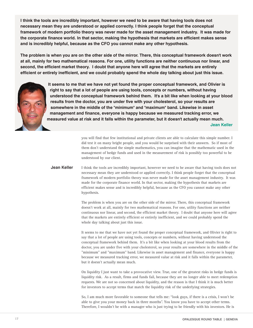**I think the tools are incredibly important, however we need to be aware that having tools does not necessary mean they are understood or applied correctly. I think people forget that the conceptual framework of modern portfolio theory was never made for the asset management industry. It was made for the corporate finance world. In that sector, making the hypothesis that markets are efficient makes sense and is incredibly helpful, because as the CFO you cannot make any other hypothesis.**

**The problem is when you are on the other side of the mirror. There, this conceptual framework doesn't work at all, mainly for two mathematical reasons. For one, utility functions are neither continuous nor linear, and second, the efficient market theory. I doubt that anyone here will agree that the markets are entirely efficient or entirely inefficient, and we could probably spend the whole day talking about just this issue.**



**It seems to me that we have not yet found the proper conceptual framework, and Olivier is right to say that a lot of people are using tools, concepts or numbers, without having understood the conceptual framework behind them. It's a bit like when looking at your blood results from the doctor, you are under five with your cholesterol, so your results are somewhere in the middle of the "minimum" and "maximum" band. Likewise in asset management and finance, everyone is happy because we measured tracking error, we measured value at risk and it falls within the parameter, but it doesn't actually mean much. Jean Keller**

> you will find that few institutional and private clients are able to calculate this simple number. I did test it on many bright people, and you would be surprised with their answers. So if most of them don't understand the simple mathematics, you can imagine that the mathematic used in the management of hedge funds and used in the measurement of risk is possibly too powerful to be understood by our client.

I think the tools are incredibly important, however we need to be aware that having tools does not necessary mean they are understood or applied correctly. I think people forget that the conceptual framework of modern portfolio theory was never made for the asset management industry. It was made for the corporate finance world. In that sector, making the hypothesis that markets are efficient makes sense and is incredibly helpful, because as the CFO you cannot make any other hypothesis. **Jean Keller**

> The problem is when you are on the other side of the mirror. There, this conceptual framework doesn't work at all, mainly for two mathematical reasons. For one, utility functions are neither continuous nor linear, and second, the efficient market theory. I doubt that anyone here will agree that the markets are entirely efficient or entirely inefficient, and we could probably spend the whole day talking about just this issue.

> It seems to me that we have not yet found the proper conceptual framework, and Olivier is right to say that a lot of people are using tools, concepts or numbers, without having understood the conceptual framework behind them. It's a bit like when looking at your blood results from the doctor, you are under five with your cholesterol, so your results are somewhere in the middle of the "minimum" and "maximum" band. Likewise in asset management and finance, everyone is happy because we measured tracking error, we measured value at risk and it falls within the parameter, but it doesn't actually mean much.

> On liquidity I just want to take a provocative view. True, one of the greatest risks in hedge funds is liquidity risk. As a result, firms and funds fail, because they are no longer able to meet redemption requests. We are not so concerned about liquidity, and the reason is that I think it is much better for investors to accept terms that match the liquidity risk of the underlying strategies.

So, I am much more favorable to someone that tells me: "look guys, if there is a crisis, I won't be able to give you your money back in three months". You know you have to accept other terms. Therefore, I wouldn't be with a manager who is just trying to be friendly with his investors. He is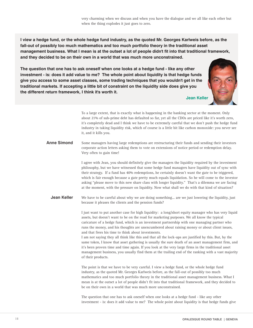**I view a hedge fund, or the whole hedge fund industry, as the quoted Mr. Georges Karlweis before, as the fall-out of possibly too much mathematics and too much portfolio theory in the traditional asset management business. What I mean is at the outset a lot of people didn't fit into that traditional framework, and they decided to be on their own in a world that was much more unconstrained.**

**The question that one has to ask oneself when one looks at a hedge fund - like any other investment - is: does it add value to me? The whole point about liquidity is that hedge funds give you access to some asset classes, some trading techniques that you wouldn't get in the traditional markets. If accepting a little bit of constraint on the liquidity side does give you the different return framework, I think it's worth it.**



**Jean Keller**

To a large extent, that is exactly what is happening in the banking sector at the moment. Only about 21% of sub-prime debt has defaulted so far, yet all the CDOs are priced like it's worth zero, it's completely dead and I think we have to be extremely careful that we don't push the hedge fund industry in taking liquidity risk, which of course is a little bit like carbon monoxide: you never see it, and it kills you.

Some managers having large redemptions are restructuring their funds and sending their investors corporate action letters asking them to vote on extensions of notice period or redemption delay. Very often to gain time! **Anne Simond**

> I agree with Jean, you should definitely give the managers the liquidity required by the investment philosophy, but we have witnessed that some hedge fund managers have liquidity out of sync with their strategy. If a fund has 40% redemptions, he certainly doesn't want the gate to be triggered, which is fair enough because a gate pretty much equals liquidation. So he will come to the investor asking "please move to this new share class with longer liquidity." That's a dilemma we are facing at the moment, with the pressure on liquidity. Now what shall we do with that kind of situation?

We have to be careful about why we are doing something... are we just lowering the liquidity, just because it pleases the clients and the pension funds? **Jean Keller**

> I just want to put another case for high liquidity: a long/short equity manager who has very liquid assets, but doesn't want to be on the road for marketing purposes. We all know the typical caricature of a hedge fund, which is an investment partnership with one managing partner who runs the money, and his thoughts are unencumbered about raising money or about client issues, and that frees his time to think about investments.

> I am not saying they all think like this and that all the lock-ups are justified by this. But, by the same token, I know that asset gathering is usually the sure death of an asset management firm, and it's been proven time and time again. If you look at the very large firms in the traditional asset management business, you usually find them at the trailing end of the ranking with a vast majority of their products.

The point is that we have to be very careful. I view a hedge fund, or the whole hedge fund industry, as the quoted Mr. Georges Karlweis before, as the fall-out of possibly too much mathematics and too much portfolio theory in the traditional asset management business. What I mean is at the outset a lot of people didn't fit into that traditional framework, and they decided to be on their own in a world that was much more unconstrained.

The question that one has to ask oneself when one looks at a hedge fund - like any other investment - is: does it add value to me? The whole point about liquidity is that hedge funds give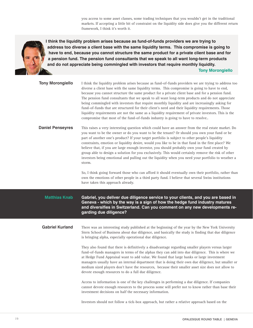you access to some asset classes, some trading techniques that you wouldn't get in the traditional markets. If accepting a little bit of constraint on the liquidity side does give you the different return framework, I think it's worth it.



**I think the liquidity problem arises because as fund-of-funds providers we are trying to address too diverse a client base with the same liquidity terms. This compromise is going to have to end, because you cannot structure the same product for a private client base and for a pension fund. The pension fund consultants that we speak to all want long-term products and do not appreciate being commingled with investors that require monthly liquidity. Tony Morongiello**

| <b>Tony Morongiello</b> | I think the liquidity problem arises because as fund-of-funds providers we are trying to address too<br>diverse a client base with the same liquidity terms. This compromise is going to have to end,<br>because you cannot structure the same product for a private client base and for a pension fund.<br>The pension fund consultants that we speak to all want long-term products and do not appreciate<br>being commingled with investors that require monthly liquidity and are increasingly asking for<br>fund-of-funds that are structured for their client's need and their liquidity requirements. Those<br>liquidity requirements are not the same as a liquidity requirement of private investors. This is the<br>compromise that most of the fund-of-funds industry is going to have to resolve |
|-------------------------|--------------------------------------------------------------------------------------------------------------------------------------------------------------------------------------------------------------------------------------------------------------------------------------------------------------------------------------------------------------------------------------------------------------------------------------------------------------------------------------------------------------------------------------------------------------------------------------------------------------------------------------------------------------------------------------------------------------------------------------------------------------------------------------------------------------|
| <b>Daniel Penseyres</b> | This raises a very interesting question which could have an answer from the real estate market. Do<br>you want to be the owner or do you want to be the tenant? Or should you own your fund or be<br>part of another one's product? If your target portfolio is subject to other people's liquidity<br>constraints, emotion or liquidity desire, would you like to be in that fund in the first place? We<br>believe that, if you are large enough investor, you should probably own your fund created by<br>group able to design a solution for you exclusively. This would certainly remove the risk of other<br>investors being emotional and pulling out the liquidity when you need your portfolio to weather a<br>storm.                                                                               |
|                         | So, I think going forward those who can afford it should eventually own their portfolio, rather than<br>own the emotions of other people in a third party fund. I believe that several Swiss institutions<br>have taken this approach already.                                                                                                                                                                                                                                                                                                                                                                                                                                                                                                                                                               |
|                         |                                                                                                                                                                                                                                                                                                                                                                                                                                                                                                                                                                                                                                                                                                                                                                                                              |
| <b>Matthias Knab</b>    | Gabriel, you deliver due diligence service to your clients, and you are based in<br>Geneva - which by the way is a sign of how the hedge fund industry matures<br>and diversifies in Switzerland. Can you comment on any new developments re-<br>garding due diligence?                                                                                                                                                                                                                                                                                                                                                                                                                                                                                                                                      |
| <b>Gabriel Kurland</b>  | There was an interesting study published at the beginning of the year by the New York University<br>Stern School of Business about due diligence, and basically the study is finding that due diligence<br>is bringing alpha, especially operational due diligence.                                                                                                                                                                                                                                                                                                                                                                                                                                                                                                                                          |
|                         | They also found that there is definitively a disadvantage regarding smaller players versus larger<br>fund-of-funds managers in terms of the alphas they can add into due diligence. This is where we<br>at Hedge Fund Appraisal want to add value. We found that large banks or large investment<br>managers usually have an internal department that is doing their own due diligence, but smaller or<br>medium sized players don't have the resources, because their smaller asset size does not allow to<br>devote enough resources to do a full due diligence.                                                                                                                                                                                                                                           |

Investors should not follow a tick-box approach, but rather a relative approach based on the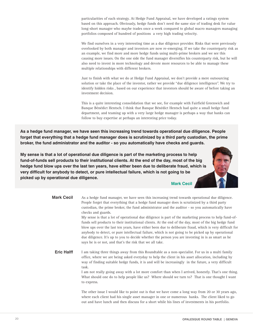particularities of each strategy. At Hedge Fund Appraisal, we have developed a ratings system based on this approach. Obviously, hedge funds don't need the same size of trading desk for value long-short manager who maybe trades once a week compared to global macro managers managing portfolios composed of hundred of positions a very high trading velocity.

We find ourselves in a very interesting time as a due diligence provider. Risks that were previously overlooked by both manager and investors are now re-emerging. If we take the counterparty risk as an example, we find more and more hedge funds using multi-prime brokers and we see this causing more issues. On the one side the fund manager diversifies his counterparty risk, but he will also need to invest in more technology and devote more resources to be able to manage these multiple relationships with different brokers.

Just to finish with what we do at Hedge Fund Appraisal, we don't provide a mere outsourcing solution or take the place of the investor, rather we provide "due diligence intelligence". We try to identify hidden risks , based on our experience that investors should be aware of before taking an investment decision.

This is a quite interesting consolidation that we see, for example with Fairfield Greenwich and Banque Bénédict Hentsch. I think that Banque Bénédict Hentsch had quite a small hedge fund department, and teaming up with a very large hedge manager is perhaps a way that banks can follow to buy expertise at perhaps an interesting price today.

**As a hedge fund manager, we have seen this increasing trend towards operational due diligence. People forget that everything that a hedge fund manager does is scrutinized by a third party custodian, the prime broker, the fund administrator and the auditor - so you automatically have checks and guards.**

**My sense is that a lot of operational due diligence is part of the marketing process to help fund-of-funds sell products to their institutional clients. At the end of the day, most of the big hedge fund blow ups over the last ten years, have either been due to deliberate fraud, which is very difficult for anybody to detect, or pure intellectual failure, which is not going to be picked up by operational due diligence.**

**Mark Cecil**

As a hedge fund manager, we have seen this increasing trend towards operational due diligence. People forget that everything that a hedge fund manager does is scrutinized by a third party custodian, the prime broker, the fund administrator and the auditor - so you automatically have checks and guards. My sense is that a lot of operational due diligence is part of the marketing process to help fund-offunds sell products to their institutional clients. At the end of the day, most of the big hedge fund blow ups over the last ten years, have either been due to deliberate fraud, which is very difficult for anybody to detect, or pure intellectual failure, which is not going to be picked up by operational due diligence. It's up to you to decide whether the person you are investing in is as smart as he says he is or not, and that's the risk that we all take. I am taking three things away from this Roundtable as a non-specialist. For us in a multi family office, where we are being asked everyday to help the client in his asset allocation, including by way of finding suitable hedge funds, it is and will be increasingly in the future, a very difficult task. I am not really going away with a lot more comfort than when I arrived, honestly. That's one thing. What should one do to help people like us? Where should we turn to? That is one thought I want to express. The other issue I would like to point out is that we have come a long way from 20 or 30 years ago, where each client had his single asset manager in one or numerous banks. The client liked to go **Mark Cecil Eric Halff**

out and have lunch and then discuss for a short while his lines of investments in his portfolio.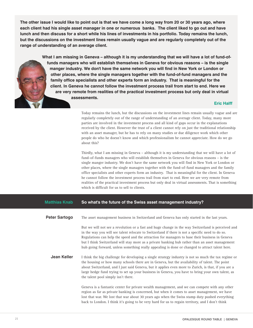**The other issue I would like to point out is that we have come a long way from 20 or 30 years ago, where each client had his single asset manager in one or numerous banks. The client liked to go out and have lunch and then discuss for a short while his lines of investments in his portfolio. Today remains the lunch, but the discussions on the investment lines remain usually vague and are regularly completely out of the range of understanding of an average client.**

> **What I am missing in Geneva – although it is my understanding that we will have a lot of fund-offunds managers who will establish themselves in Geneva for obvious reasons – is the single manger industry. We don't have the same network you will find in New York or London or other places, where the single managers together with the fund-of-fund managers and the family office specialists and other experts form an industry. That is meaningful for the client. In Geneva he cannot follow the investment process trail from start to end. Here we are very remote from realities of the practical investment process but only deal in virtual assessments.**

### **Eric Halff**

Today remains the lunch, but the discussions on the investment lines remain usually vague and are regularly completely out of the range of understanding of an average client. Today, many more parties are involved in the investment process and all kind of gaps occur in the explanations received by the client. However the trust of a client cannot rely on just the traditional relationship with an asset manager, but he has to rely on many studies or due diligence work which other people do who he doesn't know and which professionalism he cannot appreciate. How do we go about this?

Thirdly, what I am missing in Geneva – although it is my understanding that we will have a lot of fund-of-funds managers who will establish themselves in Geneva for obvious reasons – is the single manger industry. We don't have the same network you will find in New York or London or other places, where the single managers together with the fund-of-fund managers and the family office specialists and other experts form an industry. That is meaningful for the client. In Geneva he cannot follow the investment process trail from start to end. Here we are very remote from realities of the practical investment process but only deal in virtual assessments. That is something which is difficult for us to sell to clients.

#### **So what's the future of the Swiss asset management industry? Matthias Knab**

| <b>Peter Sartogo</b> | The asset management business in Switzerland and Geneva has only started in the last years. |  |  |  |
|----------------------|---------------------------------------------------------------------------------------------|--|--|--|
|----------------------|---------------------------------------------------------------------------------------------|--|--|--|

But we will not see a revolution or a fast and huge change in the way Switzerland is perceived and in the way you will see talent relocate to Switzerland if there is not a specific need to do so. Regulations can help the speed and the attraction for managers to base their business in Geneva but I think Switzerland will stay more as a private banking hub rather than an asset management hub going forward, unless something really appealing is done or changed to attract talent here.

I think the big challenge for developing a single strategy industry is not so much the tax regime or the housing or how many schools there are in Geneva, but the availability of talent. The point about Switzerland, and I just said Geneva, but it applies even more to Zurich, is that, if you are a large hedge fund trying to set up your business in Geneva, you have to bring your own talent, as the talent pool simply isn't there. **Jean Keller**

> Geneva is a fantastic center for private wealth management, and we can compete with any other region as far as private banking is concerned, but when it comes to asset management, we have lost that war. We lost that war about 30 years ago when the Swiss stamp duty pushed everything back to London. I think it's going to be very hard for us to regain territory, and I don't think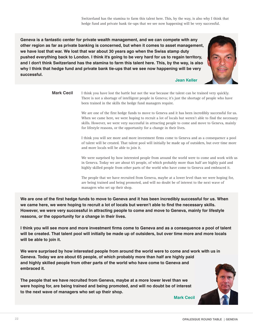Switzerland has the stamina to farm this talent here. This, by the way, is also why I think that hedge fund and private bank tie-ups that we see now happening will be very successful.

**Geneva is a fantastic center for private wealth management, and we can compete with any other region as far as private banking is concerned, but when it comes to asset management, we have lost that war. We lost that war about 30 years ago when the Swiss stamp duty pushed everything back to London. I think it's going to be very hard for us to regain territory, and I don't think Switzerland has the stamina to farm this talent here. This, by the way, is also why I think that hedge fund and private bank tie-ups that we see now happening will be very successful.**



**Jean Keller**

I think you have lost the battle but not the war because the talent can be trained very quickly. There is not a shortage of intelligent people in Geneva; it's just the shortage of people who have been trained in the skills the hedge fund managers require. **Mark Cecil**

> We are one of the first hedge funds to move to Geneva and it has been incredibly successful for us. When we came here, we were hoping to recruit a lot of locals but weren't able to find the necessary skills. However, we were very successful in attracting people to come and move to Geneva, mainly for lifestyle reasons, or the opportunity for a change in their lives.

> I think you will see more and more investment firms come to Geneva and as a consequence a pool of talent will be created. That talent pool will initially be made up of outsiders, but over time more and more locals will be able to join it.

> We were surprised by how interested people from around the world were to come and work with us in Geneva. Today we are about 65 people, of which probably more than half are highly paid and highly skilled people from other parts of the world who have come to Geneva and embraced it.

The people that we have recruited from Geneva, maybe at a lower level than we were hoping for, are being trained and being promoted, and will no doubt be of interest to the next wave of managers who set up their shop.

**We are one of the first hedge funds to move to Geneva and it has been incredibly successful for us. When we came here, we were hoping to recruit a lot of locals but weren't able to find the necessary skills. However, we were very successful in attracting people to come and move to Geneva, mainly for lifestyle reasons, or the opportunity for a change in their lives.**

**I think you will see more and more investment firms come to Geneva and as a consequence a pool of talent will be created. That talent pool will initially be made up of outsiders, but over time more and more locals will be able to join it.**

**We were surprised by how interested people from around the world were to come and work with us in Geneva. Today we are about 65 people, of which probably more than half are highly paid and highly skilled people from other parts of the world who have come to Geneva and embraced it.**

**The people that we have recruited from Geneva, maybe at a more lower level than we were hoping for, are being trained and being promoted, and will no doubt be of interest to the next wave of managers who set up their shop.**

**Mark Cecil**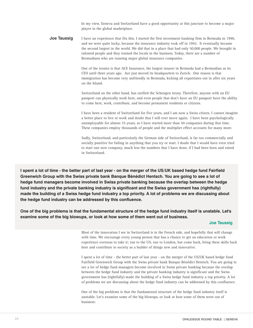In my view, Geneva and Switzerland have a good opportunity at this juncture to become a major player in the global marketplace.

I have an experience that fits this. I started the first investment banking firm in Bermuda in 1990, and we were quite lucky, because the insurance industry took off in 1992. It eventually became the second largest in the world. We did that in a place that had only 50,000 people. We brought in talented people and they trained the locals in the business. Today, there are a number of Bermudians who are running major global insurance companies. **Joe Taussig**

> One of the ironies is that ACE Insurance, the largest insurer in Bermuda had a Bermudian as its CEO until three years ago. Ace just moved its headquarters to Zurich. One reason is that immigration has become very unfriendly in Bermuda, kicking all expatriates out in after six years on the Island.

Switzerland on the other hand, has ratified the Schengen treaty. Therefore, anyone with an EU passport can physically work here, and even people that don't have an EU passport have the ability to come here, work, contribute, and become permanent residents or citizens.

I have been a resident of Switzerland for five years, and I am now a Swiss citizen. I cannot imagine a better place to live or work and doubt that I will ever move again. I have been psychologically unemployable for almost 35 years, so I have started more than 50 companies during that time. These companies employ thousands of people and the multiplier effect accounts for many more.

Sadly, Switzerland, and particularly the German side of Switzerland, is far too commercially and socially punitive for failing in anything that you try or start. I doubt that I would have even tried to start one new company, much less the numbers that I have done, if I had been born and raised in Switzerland.

**I spent a lot of time - the better part of last year - on the merger of the US/UK based hedge fund Fairfield Greenwich Group with the Swiss private bank Banque Bénédict Hentsch. You are going to see a lot of hedge fund managers become involved in Swiss private banking because the overlap between the hedge fund industry and the private banking industry is significant and the Swiss government has (rightfully) made the building of a Swiss hedge fund industry a top priority. A lot of problems we are discussing about the hedge fund industry can be addressed by this confluence.**

**One of the big problems is that the fundamental structure of the hedge fund industry itself is unstable. Let's examine some of the big blowups, or look at how some of them went out of business.**

#### **Joe Taussig**

Most of the innovation I see in Switzerland is in the French side, and hopefully that will change with time. We encourage every young person that has a chance to get an education or work experience overseas to take it; run to the US, run to London, but come back, bring these skills back here and contribute to society as a builder of things new and innovative.

I spent a lot of time - the better part of last year - on the merger of the US/UK based hedge fund Fairfield Greenwich Group with the Swiss private bank Banque Bénédict Hentsch. You are going to see a lot of hedge fund managers become involved in Swiss private banking because the overlap between the hedge fund industry and the private banking industry is significant and the Swiss government has (rightfully) made the building of a Swiss hedge fund industry a top priority. A lot of problems we are discussing about the hedge fund industry can be addressed by this confluence.

One of the big problems is that the fundamental structure of the hedge fund industry itself is unstable. Let's examine some of the big blowups, or look at how some of them went out of business: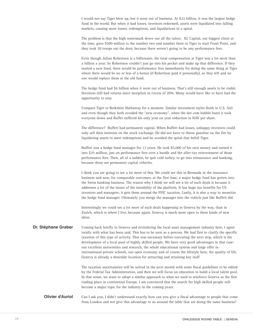I would not say Tiger blew up, but it went out of business. At \$22 billion, it was the largest hedge fund in the world. But when it had losses, investors redeemed, assets were liquidated into falling markets, causing more losses, redemptions, and liquidations in a spiral.

The problem is that the high watermark drove out all the talent. XL Capital, our biggest client at the time, gave \$500 million to the number two and number three at Tiger to start Front Point, and they took 30 troops out the door, because there weren't going to be any performance fees.

Even though Julian Robertson is a billionaire, the total compensation at Tiger was a lot more than a billion a year. So Robertson couldn't just go into his pocket and make up that difference. If they started a new fund, there would be performance fees immediately for doing the same thing at Tiger where there would be no or less of a bonus (if Robertson paid it personally), so they left and no one would replace them at the old fund.

The hedge fund had \$6 billion when it went out of business. That's still enough assets to be viable. Investors still had returns since inception in excess of 20%. Many would have like to have had the opportunity to stay.

Compare Tiger to Berkshire Hathaway for a moment. Similar investment styles (both in U.S. Air) and even though they both avoided the "new economy", when the dot com bubble burst it took everyone down and Buffet suffered his only year on year reduction in NAV per share.

The difference? Buffett had permanent capital. When Buffett had losses, unhappy investors could only sell their interests on the stock exchange. He did not have to throw gasoline on the fire by liquidating assets to meet redemptions and he avoided the spiral that befell Tiger.

Buffett was a hedge fund manager for 13 years. He took \$5,000 of his own money and turned it into \$25 million, just on performance fees over a hurdle and the after-tax reinvestment of those performance fees. Then, all of a sudden, he quit cold turkey, to go into reinsurance and banking, because those are permanent capital vehicles.

I think you are going to see a lot more of this. We could see this in Bermuda in the insurance business and now, for comparable outcomes, at the first time, a major hedge fund has gotten into the Swiss banking business. The reason why I think we will see a lot of such deals is because it addresses a lot of the issues of the instability of the platform. It has huge tax benefits for US investors and managers; it gets them around the PFIC taxation. Lastly, it is also a way to monetize the hedge fund manager. Ultimately you merge the manager into the vehicle just like Buffett did.

Interestingly we could see a lot more of such deals happening in Geneva by the way, than in Zurich, which is where I live, because again, Geneva is much more open to these kinds of new ideas.

Coming back briefly to Geneva and revitalizing the local asset management industry here, I agree totally with what has been said. This has to be seen as a process. We had first to clarify the specific taxation of this type of activity. That was necessary before executing the next step, which is the development of a local pool of highly skilled people. We have very good advantages in that case: our excellent universities and research, the whole educational system and large offer in international private schools, our open economy and of course the lifestyle here, the quality of life. Geneva is already a desirable location for attracting and retaining key staff. **Dr. Stéphane Graber**

> The taxation uncertainties will be solved in the next month with some fiscal guidelines to be edited by the Federal Tax Administration, and then we will focus on education to build a local talent pool. In that sense, we want to adopt a similar approach to what we used to reinforce Geneva as the first trading place in continental Europe. I am convinced that the search for high skilled people will become a major topic for the industry in the coming years.

Can I ask you, I didn't understand exactly how can you give a fiscal advantage to people that come from London and not give this advantage to us around the table that are doing the same business? **Olivier d'Auriol**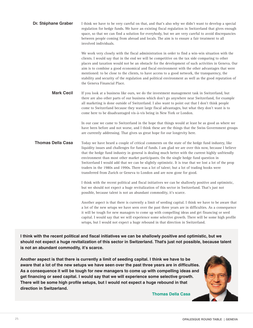| Dr. Stéphane Graber      | I think we have to be very careful on that, and that's also why we didn't want to develop a special<br>regulation for hedge funds. We have an existing fiscal regulation in Switzerland that gives enough<br>space, so that we can find a solution for everybody, but we are very careful to avoid discrepancies<br>between people coming from abroad and locals. The aim is to ensure a fair treatment to all<br>involved individuals.                                                                                                                                                                                                                                                |
|--------------------------|----------------------------------------------------------------------------------------------------------------------------------------------------------------------------------------------------------------------------------------------------------------------------------------------------------------------------------------------------------------------------------------------------------------------------------------------------------------------------------------------------------------------------------------------------------------------------------------------------------------------------------------------------------------------------------------|
|                          | We work very closely with the fiscal administration in order to find a win-win situation with the<br>clients. I would say that in the end we will be competitive on the tax side comparing to other<br>places and taxation would not be an obstacle for the development of such activities in Geneva. Our<br>aim is to combine a good economical and fiscal environment with the other advantages that were<br>mentioned: to be close to the clients, to have access to a good network, the transparency, the<br>stability and security of the regulation and political environment as well as the good reputation of<br>the Geneva Financial Place.                                   |
| <b>Mark Cecil</b>        | If you look at a business like ours, we do the investment management task in Switzerland, but<br>there are also other parts of our business which don't go anywhere near Switzerland, for example<br>all marketing is done outside of Switzerland. I also want to point out that I don't think people<br>come to Switzerland because they want large fiscal advantages, but what they don't want is to<br>come here to be disadvantaged vis-à-vis being in New York or London.                                                                                                                                                                                                         |
|                          | In our case we came to Switzerland in the hope that things would at least be as good as where we<br>have been before and not worse, and I think these are the things that the Swiss Government groups<br>are currently addressing. That gives us great hope for our longevity here.                                                                                                                                                                                                                                                                                                                                                                                                    |
| <b>Thomas Della Casa</b> | Today we have heard a couple of critical comments on the state of the hedge fund industry, like<br>liquidity issues and challenges for fund of funds. I am glad we are over this now, because I believe<br>that the hedge fund industry in general is dealing much better with the current highly unfriendly<br>environment than most other market participants. On the single hedge fund question in<br>Switzerland I would add that we can be slightly optimistic. It is true that we lost a lot of the prop<br>traders in the 1980s and 1990s. There was a lot of talent; but a lot of trading books were<br>transferred from Zurich or Geneva to London and are now gone for good. |
|                          | I think with the recent political and fiscal initiatives we can be shallowly positive and optimistic,<br>but we should not expect a huge revitalization of this sector in Switzerland. That's just not<br>possible, because talent is not an abundant commodity, it's scarce.                                                                                                                                                                                                                                                                                                                                                                                                          |
|                          | Another aspect is that there is currently a limit of seeding capital. I think we have to be aware that<br>a lot of the new setups we have seen over the past three years are in difficulties. As a consequence<br>it will be tough for new managers to come up with compelling ideas and get financing or seed<br>capital. I would say that we will experience some selective growth. There will be some high profile<br>setups, but I would not expect a huge rebound in that direction in Switzerland.                                                                                                                                                                               |

**I think with the recent political and fiscal initiatives we can be shallowly positive and optimistic, but we should not expect a huge revitalization of this sector in Switzerland. That's just not possible, because talent is not an abundant commodity, it's scarce.**

**Another aspect is that there is currently a limit of seeding capital. I think we have to be aware that a lot of the new setups we have seen over the past three years are in difficulties. As a consequence it will be tough for new managers to come up with compelling ideas and get financing or seed capital. I would say that we will experience some selective growth. There will be some high profile setups, but I would not expect a huge rebound in that direction in Switzerland.**

**Thomas Della Casa**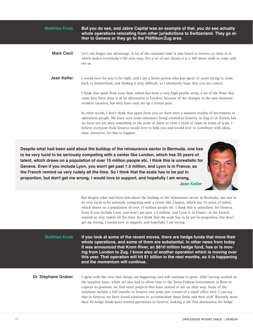| <b>Matthias Knab</b> | But you do see, and Jabre Capital was an example of that, you do see actually<br>whole operations relocating from other jurisdictions to Switzerland. They go ei-<br>ther to Geneva or they go to the Pfäffikon/Zug area.                                                                                                                                                                                                                          |
|----------------------|----------------------------------------------------------------------------------------------------------------------------------------------------------------------------------------------------------------------------------------------------------------------------------------------------------------------------------------------------------------------------------------------------------------------------------------------------|
| <b>Mark Cecil</b>    | Let's not forget one advantage. A lot of the customer base is also based in Geneva or close to it,<br>which makes everybody's life very easy. For a lot of our clients it is a 100 meter walk to come and<br>see us.                                                                                                                                                                                                                               |
| Jean Keller          | I would love for you to be right, and I am a Swiss person who has spent 22 years trying to come<br>back to Switzerland, and finding it very difficult, so I absolutely hope that you are correct.                                                                                                                                                                                                                                                  |
|                      | I think that apart from your firm, which has been a very high profile setup, a lot of the firms that<br>came here have done it as an alternative to London, because of the changes in the non-domestic<br>resident taxation, but they have only set up a retreat post.                                                                                                                                                                             |
|                      | In other words, I don't think that apart from you we have seen a massive exodus of investment or<br>operations people. We have seen some substance being created in Geneva, in Zug or in Zurich, but<br>we have not yet seen something to the scale of Jabre or even a third of Jabre in terms of scale. I<br>believe everyone from Geneva would love to help you and would love to contribute with ideas,<br>time, resources, for this to happen. |
|                      |                                                                                                                                                                                                                                                                                                                                                                                                                                                    |

**Despite what had been said about the buildup of the reinsurance sector in Bermuda, one has to be very lucid to be seriously competing with a center like London, which has 35 years of talent, which draws on a population of over 15 million people etc. I think this is unrealistic for Geneva. Even if you include Lyon, you won't get past 1.5 million, and Lyon is in France; as the French remind us very rudely all the time. So I think that the scale has to be put in proportion, but don't get me wrong, I would love to support, and hopefully I am wrong. Jean Keller**



But despite what had been said about the buildup of the reinsurance sector in Bermuda, one has to be very lucid to be seriously competing with a center like London, which has 35 years of talent, which draws on a population of over 15 million people etc. I think this is unrealistic for Geneva. Even if you include Lyon, you won't get past 1.5 million, and Lyon is in France; as the French remind us very rudely all the time. So I think that the scale has to be put in proportion, but don't get me wrong, I would love to support, and hopefully I am wrong.

**Matthias Knab**

**If you look at some of the recent moves, there are hedge funds that move their whole operations, and some of them are substantial. In other news from today it was announced that Krom River, an \$810 million hedge fund, has or is moving from London to Zug. I know also of another operation which is moving over this year. That operation will hit \$1 billion in the next months, so it is happening and the momentum will continue.**

#### **Dr. Stéphane Graber**

I agree with the view that things are happening and will continue to grow. After having worked on the taxation issue, where we also had to allow time to the Swiss Federal Government in Bern to express its position, we find more projects that have started or are on their way. Some of the solutions include a full transfer to Geneva and some just consist of a small office here. I can say that in Geneva, we have found solutions to accommodate these firms and their staff. Recently more than 40 hedge funds have started operations in Geneva, making it the first destination for hedge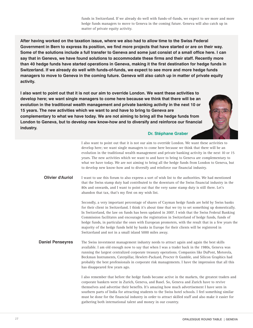funds in Switzerland. If we already do well with funds-of-funds, we expect to see more and more hedge funds managers to move to Geneva in the coming future. Geneva will also catch up in matter of private equity activity.

**After having worked on the taxation issue, where we also had to allow time to the Swiss Federal Government in Bern to express its position, we find more projects that have started or are on their way. Some of the solutions include a full transfer to Geneva and some just consist of a small office here. I can say that in Geneva, we have found solutions to accommodate these firms and their staff. Recently more than 40 hedge funds have started operations in Geneva, making it the first destination for hedge funds in Switzerland. If we already do well with funds-of-funds, we expect to see more and more hedge funds managers to move to Geneva in the coming future. Geneva will also catch up in matter of private equity activity.**

**I also want to point out that it is not our aim to override London. We want these activities to develop here; we want single managers to come here because we think that there will be an evolution in the traditional wealth management and private banking activity in the next 10 or 15 years. The new activities which we want to and have to bring to Geneva are complementary to what we have today. We are not aiming to bring all the hedge funds from London to Geneva, but to develop new know-how and to diversify and reinforce our financial industry.**



#### **Dr. Stéphane Graber**

I also want to point out that it is not our aim to override London. We want these activities to develop here; we want single managers to come here because we think that there will be an evolution in the traditional wealth management and private banking activity in the next 10 or 15 years. The new activities which we want to and have to bring to Geneva are complementary to what we have today. We are not aiming to bring all the hedge funds from London to Geneva, but to develop new know-how and to diversify and reinforce our financial industry. I want to use this forum to also express a sort of wish list to the authorities. We had mentioned that the Swiss stamp duty had contributed to the downturn of the Swiss financial industry in the 80s and onwards, and I want to point out that the very same stamp duty is still there. Let's abandon that tax, that's my first on my wish list. Secondly, a very important percentage of shares of Cayman hedge funds are held by Swiss banks for their client in Switzerland. I think it's about time that we try to set something up domestically. In Switzerland, the law on funds has been updated in 2007. I wish that the Swiss Federal Banking Commission facilitates and encourages the registration in Switzerland of hedge funds, funds of hedge funds, in particular the ones with European promoters, with the result that in a few years the majority of the hedge funds held by banks in Europe for their clients will be registered in Switzerland and not in a small island 5000 miles away. The Swiss investment management industry needs to attract again and again the best skills available. I am old enough now to say that when I was a trader back in the 1980s, Geneva was running the largest centralized corporate treasury operations. Companies like DuPont, Motorola, Beckman Instruments, Caterpillar, Hewlett-Packard, Procter & Gamble, and Silicon Graphics had probably the best professionals in corporate risk managements. I have the impression that all this has disappeared few years ago. I also remember that before the hedge funds became active in the markets, the greatest traders and corporate bankers were in Zurich, Geneva, and Basel. So, Geneva and Zurich have to revive themselves and advertise their benefits. It's amazing how much advertisement I have seen in southern parts of India for attracting students to the Swiss hotel schools. I feel something similar must be done for the financial industry in order to attract skilled staff and also make it easier for gathering both international talent and money in our country. **Olivier d'Auriol Daniel Penseyres**